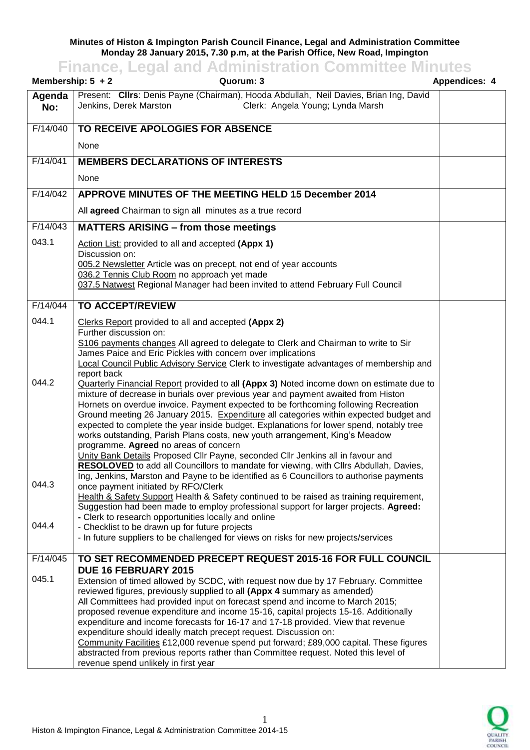## **Minutes of Histon & Impington Parish Council Finance, Legal and Administration Committee Monday 28 January 2015, 7.30 p.m, at the Parish Office, New Road, Impington**

## **Finance, Legal and Administration Committee Minutes**

| Membership: $5 + 2$ | Quorum: 3                                                                                                                                                                                                                                                                                                                                                                                                                                                                                                                                                                                                                                                                                                                                                                          | <b>Appendices: 4</b> |
|---------------------|------------------------------------------------------------------------------------------------------------------------------------------------------------------------------------------------------------------------------------------------------------------------------------------------------------------------------------------------------------------------------------------------------------------------------------------------------------------------------------------------------------------------------------------------------------------------------------------------------------------------------------------------------------------------------------------------------------------------------------------------------------------------------------|----------------------|
| Agenda<br>No:       | Present: Clirs: Denis Payne (Chairman), Hooda Abdullah, Neil Davies, Brian Ing, David<br>Clerk: Angela Young; Lynda Marsh<br>Jenkins, Derek Marston                                                                                                                                                                                                                                                                                                                                                                                                                                                                                                                                                                                                                                |                      |
| F/14/040            | TO RECEIVE APOLOGIES FOR ABSENCE                                                                                                                                                                                                                                                                                                                                                                                                                                                                                                                                                                                                                                                                                                                                                   |                      |
|                     | None                                                                                                                                                                                                                                                                                                                                                                                                                                                                                                                                                                                                                                                                                                                                                                               |                      |
| F/14/041            | <b>MEMBERS DECLARATIONS OF INTERESTS</b>                                                                                                                                                                                                                                                                                                                                                                                                                                                                                                                                                                                                                                                                                                                                           |                      |
|                     | None                                                                                                                                                                                                                                                                                                                                                                                                                                                                                                                                                                                                                                                                                                                                                                               |                      |
| F/14/042            | APPROVE MINUTES OF THE MEETING HELD 15 December 2014                                                                                                                                                                                                                                                                                                                                                                                                                                                                                                                                                                                                                                                                                                                               |                      |
|                     | All agreed Chairman to sign all minutes as a true record                                                                                                                                                                                                                                                                                                                                                                                                                                                                                                                                                                                                                                                                                                                           |                      |
| F/14/043            | <b>MATTERS ARISING - from those meetings</b>                                                                                                                                                                                                                                                                                                                                                                                                                                                                                                                                                                                                                                                                                                                                       |                      |
| 043.1               | Action List: provided to all and accepted (Appx 1)<br>Discussion on:<br>005.2 Newsletter Article was on precept, not end of year accounts<br>036.2 Tennis Club Room no approach yet made                                                                                                                                                                                                                                                                                                                                                                                                                                                                                                                                                                                           |                      |
|                     | 037.5 Natwest Regional Manager had been invited to attend February Full Council                                                                                                                                                                                                                                                                                                                                                                                                                                                                                                                                                                                                                                                                                                    |                      |
| F/14/044            | <b>TO ACCEPT/REVIEW</b>                                                                                                                                                                                                                                                                                                                                                                                                                                                                                                                                                                                                                                                                                                                                                            |                      |
| 044.1               | Clerks Report provided to all and accepted (Appx 2)<br>Further discussion on:<br>S106 payments changes All agreed to delegate to Clerk and Chairman to write to Sir<br>James Paice and Eric Pickles with concern over implications<br>Local Council Public Advisory Service Clerk to investigate advantages of membership and                                                                                                                                                                                                                                                                                                                                                                                                                                                      |                      |
| 044.2               | report back<br>Quarterly Financial Report provided to all (Appx 3) Noted income down on estimate due to<br>mixture of decrease in burials over previous year and payment awaited from Histon<br>Hornets on overdue invoice. Payment expected to be forthcoming following Recreation<br>Ground meeting 26 January 2015. Expenditure all categories within expected budget and<br>expected to complete the year inside budget. Explanations for lower spend, notably tree<br>works outstanding, Parish Plans costs, new youth arrangement, King's Meadow<br>programme. Agreed no areas of concern<br>Unity Bank Details Proposed Cllr Payne, seconded Cllr Jenkins all in favour and<br><b>RESOLOVED</b> to add all Councillors to mandate for viewing, with Cllrs Abdullah, Davies, |                      |
| 044.3               | Ing, Jenkins, Marston and Payne to be identified as 6 Councillors to authorise payments<br>once payment initiated by RFO/Clerk<br>Health & Safety Support Health & Safety continued to be raised as training requirement,<br>Suggestion had been made to employ professional support for larger projects. Agreed:<br>- Clerk to research opportunities locally and online                                                                                                                                                                                                                                                                                                                                                                                                          |                      |
| 044.4               | - Checklist to be drawn up for future projects<br>- In future suppliers to be challenged for views on risks for new projects/services                                                                                                                                                                                                                                                                                                                                                                                                                                                                                                                                                                                                                                              |                      |
| F/14/045            | TO SET RECOMMENDED PRECEPT REQUEST 2015-16 FOR FULL COUNCIL                                                                                                                                                                                                                                                                                                                                                                                                                                                                                                                                                                                                                                                                                                                        |                      |
| 045.1               | DUE 16 FEBRUARY 2015<br>Extension of timed allowed by SCDC, with request now due by 17 February. Committee<br>reviewed figures, previously supplied to all (Appx 4 summary as amended)<br>All Committees had provided input on forecast spend and income to March 2015;<br>proposed revenue expenditure and income 15-16, capital projects 15-16. Additionally<br>expenditure and income forecasts for 16-17 and 17-18 provided. View that revenue<br>expenditure should ideally match precept request. Discussion on:<br>Community Facilities £12,000 revenue spend put forward; £89,000 capital. These figures<br>abstracted from previous reports rather than Committee request. Noted this level of<br>revenue spend unlikely in first year                                    |                      |